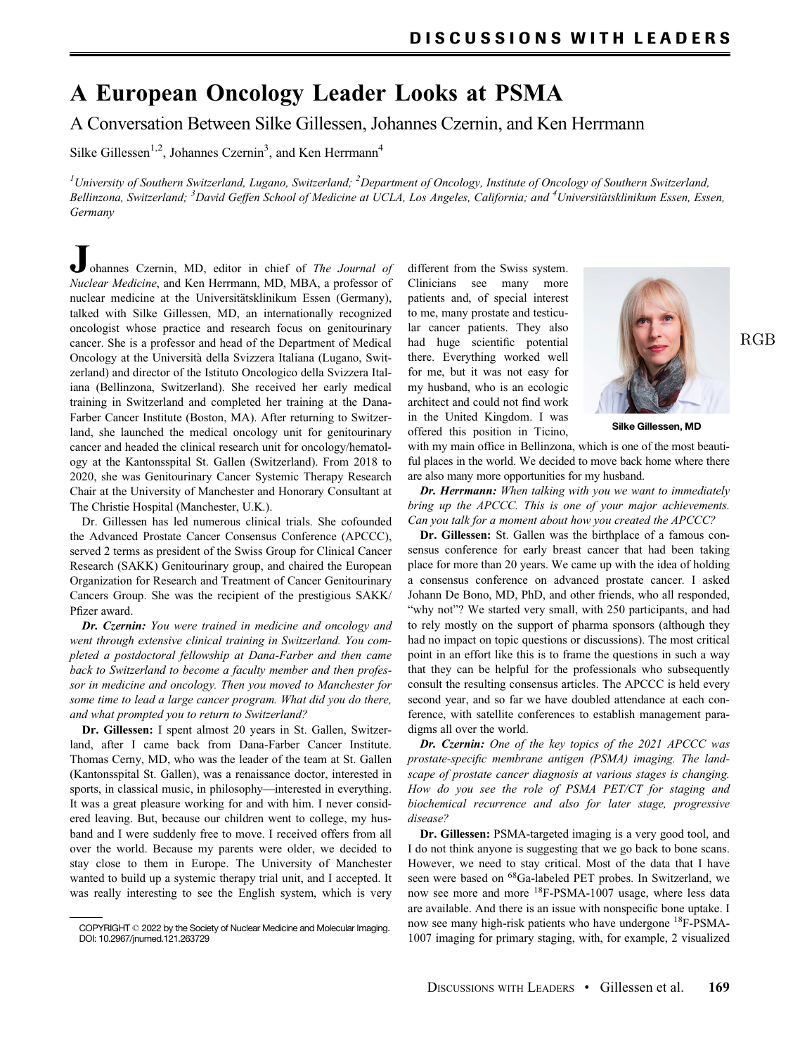## A European Oncology Leader Looks at PSMA

A Conversation Between Silke Gillessen, Johannes Czernin, and Ken Herrmann

Silke Gillessen<sup>1,2</sup>, Johannes Czernin<sup>3</sup>, and Ken Herrmann<sup>4</sup>

<sup>1</sup>University of Southern Switzerland, Lugano, Switzerland; <sup>2</sup>Department of Oncology, Institute of Oncology of Southern Switzerland, Bellinzona, Switzerland; <sup>3</sup>David Geffen School of Medicine at UCLA, Los Angeles, California; and <sup>4</sup>Universitätsklinikum Essen, Essen, Germany

ohannes Czernin, MD, editor in chief of The Journal of Nuclear Medicine, and Ken Herrmann, MD, MBA, a professor of nuclear medicine at the Universitätsklinikum Essen (Germany), talked with Silke Gillessen, MD, an internationally recognized oncologist whose practice and research focus on genitourinary cancer. She is a professor and head of the Department of Medical Oncology at the Università della Svizzera Italiana (Lugano, Switzerland) and director of the Istituto Oncologico della Svizzera Italiana (Bellinzona, Switzerland). She received her early medical training in Switzerland and completed her training at the Dana-Farber Cancer Institute (Boston, MA). After returning to Switzerland, she launched the medical oncology unit for genitourinary cancer and headed the clinical research unit for oncology/hematology at the Kantonsspital St. Gallen (Switzerland). From 2018 to 2020, she was Genitourinary Cancer Systemic Therapy Research Chair at the University of Manchester and Honorary Consultant at The Christie Hospital (Manchester, U.K.).

Dr. Gillessen has led numerous clinical trials. She cofounded the Advanced Prostate Cancer Consensus Conference (APCCC), served 2 terms as president of the Swiss Group for Clinical Cancer Research (SAKK) Genitourinary group, and chaired the European Organization for Research and Treatment of Cancer Genitourinary Cancers Group. She was the recipient of the prestigious SAKK/ Pfizer award.

Dr. Czernin: You were trained in medicine and oncology and went through extensive clinical training in Switzerland. You completed a postdoctoral fellowship at Dana-Farber and then came back to Switzerland to become a faculty member and then professor in medicine and oncology. Then you moved to Manchester for some time to lead a large cancer program. What did you do there, and what prompted you to return to Switzerland?

Dr. Gillessen: I spent almost 20 years in St. Gallen, Switzerland, after I came back from Dana-Farber Cancer Institute. Thomas Cerny, MD, who was the leader of the team at St. Gallen (Kantonsspital St. Gallen), was a renaissance doctor, interested in sports, in classical music, in philosophy—interested in everything. It was a great pleasure working for and with him. I never considered leaving. But, because our children went to college, my husband and I were suddenly free to move. I received offers from all over the world. Because my parents were older, we decided to stay close to them in Europe. The University of Manchester wanted to build up a systemic therapy trial unit, and I accepted. It was really interesting to see the English system, which is very

different from the Swiss system. Clinicians see many more patients and, of special interest to me, many prostate and testicular cancer patients. They also had huge scientific potential there. Everything worked well for me, but it was not easy for my husband, who is an ecologic architect and could not find work in the United Kingdom. I was offered this position in Ticino,



Silke Gillessen, MD

with my main office in Bellinzona, which is one of the most beautiful places in the world. We decided to move back home where there are also many more opportunities for my husband.

Dr. Herrmann: When talking with you we want to immediately bring up the APCCC. This is one of your major achievements. Can you talk for a moment about how you created the APCCC?

Dr. Gillessen: St. Gallen was the birthplace of a famous consensus conference for early breast cancer that had been taking place for more than 20 years. We came up with the idea of holding a consensus conference on advanced prostate cancer. I asked Johann De Bono, MD, PhD, and other friends, who all responded, "why not"? We started very small, with 250 participants, and had to rely mostly on the support of pharma sponsors (although they had no impact on topic questions or discussions). The most critical point in an effort like this is to frame the questions in such a way that they can be helpful for the professionals who subsequently consult the resulting consensus articles. The APCCC is held every second year, and so far we have doubled attendance at each conference, with satellite conferences to establish management paradigms all over the world.

Dr. Czernin: One of the key topics of the 2021 APCCC was prostate-specific membrane antigen (PSMA) imaging. The landscape of prostate cancer diagnosis at various stages is changing. How do you see the role of PSMA PET/CT for staging and biochemical recurrence and also for later stage, progressive disease?

Dr. Gillessen: PSMA-targeted imaging is a very good tool, and I do not think anyone is suggesting that we go back to bone scans. However, we need to stay critical. Most of the data that I have seen were based on <sup>68</sup>Ga-labeled PET probes. In Switzerland, we now see more and more <sup>18</sup>F-PSMA-1007 usage, where less data are available. And there is an issue with nonspecific bone uptake. I now see many high-risk patients who have undergone <sup>18</sup>F-PSMA-1007 imaging for primary staging, with, for example, 2 visualized

COPYRIGHT 2022 by the Society of Nuclear Medicine and Molecular Imaging. DOI: 10.2967/jnumed.121.263729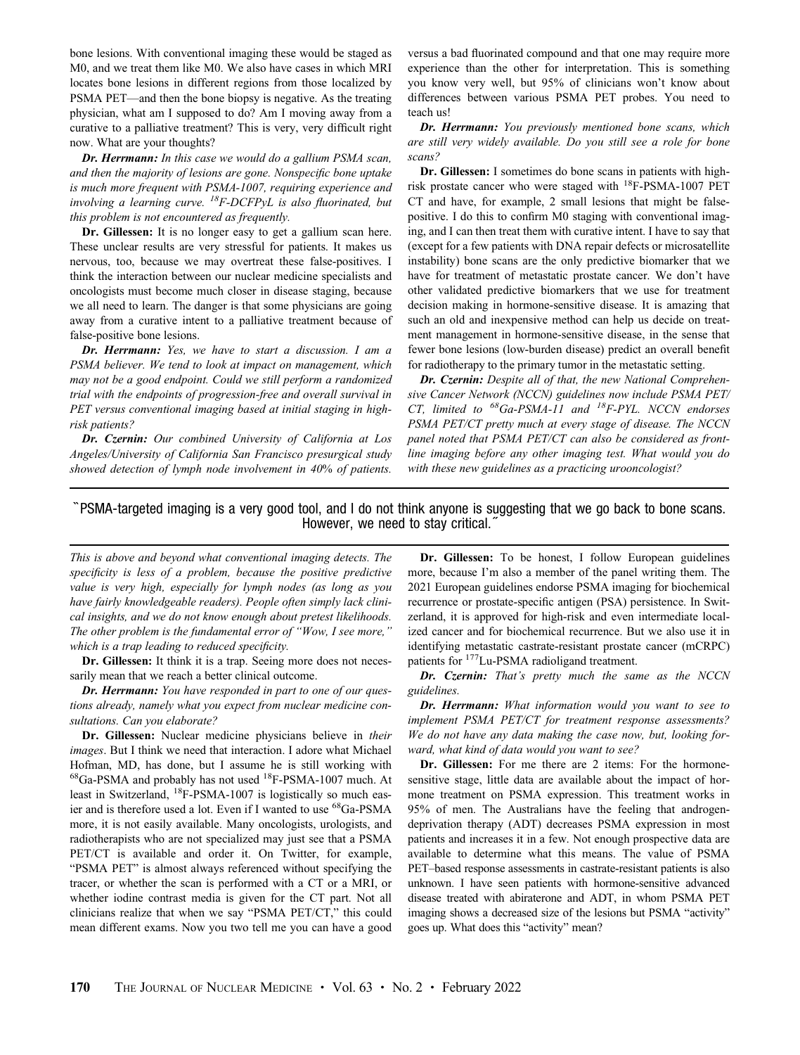bone lesions. With conventional imaging these would be staged as M0, and we treat them like M0. We also have cases in which MRI locates bone lesions in different regions from those localized by PSMA PET—and then the bone biopsy is negative. As the treating physician, what am I supposed to do? Am I moving away from a curative to a palliative treatment? This is very, very difficult right now. What are your thoughts?

Dr. Herrmann: In this case we would do a gallium PSMA scan, and then the majority of lesions are gone. Nonspecific bone uptake is much more frequent with PSMA-1007, requiring experience and involving a learning curve.  ${}^{18}F$ -DCFPyL is also fluorinated, but this problem is not encountered as frequently.

Dr. Gillessen: It is no longer easy to get a gallium scan here. These unclear results are very stressful for patients. It makes us nervous, too, because we may overtreat these false-positives. I think the interaction between our nuclear medicine specialists and oncologists must become much closer in disease staging, because we all need to learn. The danger is that some physicians are going away from a curative intent to a palliative treatment because of false-positive bone lesions.

Dr. Herrmann: Yes, we have to start a discussion. I am a PSMA believer. We tend to look at impact on management, which may not be a good endpoint. Could we still perform a randomized trial with the endpoints of progression-free and overall survival in PET versus conventional imaging based at initial staging in highrisk patients?

Dr. Czernin: Our combined University of California at Los Angeles/University of California San Francisco presurgical study showed detection of lymph node involvement in 40% of patients.

versus a bad fluorinated compound and that one may require more experience than the other for interpretation. This is something you know very well, but 95% of clinicians won't know about differences between various PSMA PET probes. You need to teach us!

Dr. Herrmann: You previously mentioned bone scans, which are still very widely available. Do you still see a role for bone scans?

Dr. Gillessen: I sometimes do bone scans in patients with highrisk prostate cancer who were staged with 18F-PSMA-1007 PET CT and have, for example, 2 small lesions that might be falsepositive. I do this to confirm M0 staging with conventional imaging, and I can then treat them with curative intent. I have to say that (except for a few patients with DNA repair defects or microsatellite instability) bone scans are the only predictive biomarker that we have for treatment of metastatic prostate cancer. We don't have other validated predictive biomarkers that we use for treatment decision making in hormone-sensitive disease. It is amazing that such an old and inexpensive method can help us decide on treatment management in hormone-sensitive disease, in the sense that fewer bone lesions (low-burden disease) predict an overall benefit for radiotherapy to the primary tumor in the metastatic setting.

Dr. Czernin: Despite all of that, the new National Comprehensive Cancer Network (NCCN) guidelines now include PSMA PET/ CT, limited to  ${}^{68}Ga-PSMA-11$  and  ${}^{18}F-PYL$ . NCCN endorses PSMA PET/CT pretty much at every stage of disease. The NCCN panel noted that PSMA PET/CT can also be considered as frontline imaging before any other imaging test. What would you do with these new guidelines as a practicing urooncologist?

## ``PSMA-targeted imaging is a very good tool, and I do not think anyone is suggesting that we go back to bone scans. However, we need to stay critical.

This is above and beyond what conventional imaging detects. The specificity is less of a problem, because the positive predictive value is very high, especially for lymph nodes (as long as you have fairly knowledgeable readers). People often simply lack clinical insights, and we do not know enough about pretest likelihoods. The other problem is the fundamental error of "Wow, I see more," which is a trap leading to reduced specificity.

Dr. Gillessen: It think it is a trap. Seeing more does not necessarily mean that we reach a better clinical outcome.

Dr. Herrmann: You have responded in part to one of our questions already, namely what you expect from nuclear medicine consultations. Can you elaborate?

Dr. Gillessen: Nuclear medicine physicians believe in their images. But I think we need that interaction. I adore what Michael Hofman, MD, has done, but I assume he is still working with 68Ga-PSMA and probably has not used 18F-PSMA-1007 much. At least in Switzerland, 18F-PSMA-1007 is logistically so much easier and is therefore used a lot. Even if I wanted to use 68Ga-PSMA more, it is not easily available. Many oncologists, urologists, and radiotherapists who are not specialized may just see that a PSMA PET/CT is available and order it. On Twitter, for example, "PSMA PET" is almost always referenced without specifying the tracer, or whether the scan is performed with a CT or a MRI, or whether iodine contrast media is given for the CT part. Not all clinicians realize that when we say "PSMA PET/CT," this could mean different exams. Now you two tell me you can have a good

Dr. Gillessen: To be honest, I follow European guidelines more, because I'm also a member of the panel writing them. The 2021 European guidelines endorse PSMA imaging for biochemical recurrence or prostate-specific antigen (PSA) persistence. In Switzerland, it is approved for high-risk and even intermediate localized cancer and for biochemical recurrence. But we also use it in identifying metastatic castrate-resistant prostate cancer (mCRPC) patients for 177Lu-PSMA radioligand treatment.

Dr. Czernin: That's pretty much the same as the NCCN guidelines.

Dr. Herrmann: What information would you want to see to implement PSMA PET/CT for treatment response assessments? We do not have any data making the case now, but, looking forward, what kind of data would you want to see?

Dr. Gillessen: For me there are 2 items: For the hormonesensitive stage, little data are available about the impact of hormone treatment on PSMA expression. This treatment works in 95% of men. The Australians have the feeling that androgendeprivation therapy (ADT) decreases PSMA expression in most patients and increases it in a few. Not enough prospective data are available to determine what this means. The value of PSMA PET–based response assessments in castrate-resistant patients is also unknown. I have seen patients with hormone-sensitive advanced disease treated with abiraterone and ADT, in whom PSMA PET imaging shows a decreased size of the lesions but PSMA "activity" goes up. What does this "activity" mean?